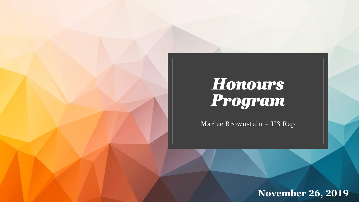## *Honours Program*

Marlee Brownstein – U3 Rep

**November 26, 2019**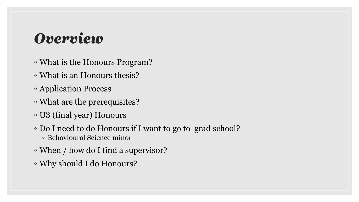### *Overview*

- What is the Honours Program?
- What is an Honours thesis?
- Application Process
- What are the prerequisites?
- U3 (final year) Honours
- Do I need to do Honours if I want to go to grad school? ◦ Behavioural Science minor
- When / how do I find a supervisor?
- Why should I do Honours?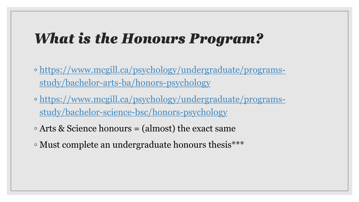### *What is the Honours Program?*

- [https://www.mcgill.ca/psychology/undergraduate/programs](https://www.mcgill.ca/psychology/undergraduate/programs-study/bachelor-arts-ba/honors-psychology)study/bachelor-arts-ba/honors-psychology
- [https://www.mcgill.ca/psychology/undergraduate/programs](https://www.mcgill.ca/psychology/undergraduate/programs-study/bachelor-science-bsc/honors-psychology)study/bachelor-science-bsc/honors-psychology
- Arts & Science honours = (almost) the exact same
- Must complete an undergraduate honours thesis\*\*\*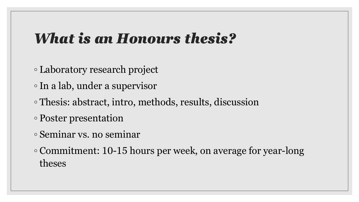### *What is an Honours thesis?*

- Laboratory research project
- In a lab, under a supervisor
- Thesis: abstract, intro, methods, results, discussion
- Poster presentation
- Seminar vs. no seminar
- Commitment: 10-15 hours per week, on average for year-long theses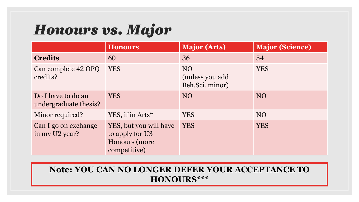## *Honours vs. Major*

|                                             | <b>Honours</b>                                                             | <b>Major (Arts)</b>                                   | <b>Major (Science)</b> |
|---------------------------------------------|----------------------------------------------------------------------------|-------------------------------------------------------|------------------------|
| <b>Credits</b>                              | 60                                                                         | 36                                                    | 54                     |
| Can complete 42 OPQ<br>credits?             | <b>YES</b>                                                                 | NO <sub>1</sub><br>(unless you add<br>Beh.Sci. minor) | <b>YES</b>             |
| Do I have to do an<br>undergraduate thesis? | <b>YES</b>                                                                 | NO                                                    | <b>NO</b>              |
| Minor required?                             | YES, if in Arts*                                                           | <b>YES</b>                                            | <b>NO</b>              |
| Can I go on exchange<br>in my U2 year?      | YES, but you will have<br>to apply for U3<br>Honours (more<br>competitive) | <b>YES</b>                                            | <b>YES</b>             |

#### **Note: YOU CAN NO LONGER DEFER YOUR ACCEPTANCE TO HONOURS\*\*\***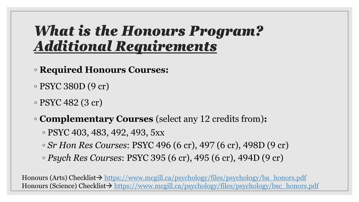### *What is the Honours Program? Additional Requirements*

- **Required Honours Courses:**
- PSYC 380D (9 cr)
- $\circ$  PSYC 482 (3 cr)
- **Complementary Courses** (select any 12 credits from)**:**
	- PSYC 403, 483, 492, 493, 5xx
	- *Sr Hon Res Courses*: PSYC 496 (6 cr), 497 (6 cr), 498D (9 cr)
	- *Psych Res Courses*: PSYC 395 (6 cr), 495 (6 cr), 494D (9 cr)

Honours (Arts) Checklist→ [https://www.mcgill.ca/psychology/files/psychology/ba\\_honors.pdf](https://www.mcgill.ca/psychology/files/psychology/ba_honors.pdf) Honours (Science) Checklist→ [https://www.mcgill.ca/psychology/files/psychology/bsc\\_honors.pdf](https://www.mcgill.ca/psychology/files/psychology/bsc_honors.pdf)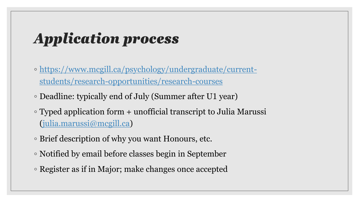## *Application process*

- [https://www.mcgill.ca/psychology/undergraduate/current](https://www.mcgill.ca/psychology/undergraduate/current-students/research-opportunities/research-courses)students/research-opportunities/research-courses
- Deadline: typically end of July (Summer after U1 year)
- Typed application form + unofficial transcript to Julia Marussi [\(julia.marussi@mcgill.ca](mailto:julia.marussi@mcgill.ca))
- Brief description of why you want Honours, etc.
- Notified by email before classes begin in September
- Register as if in Major; make changes once accepted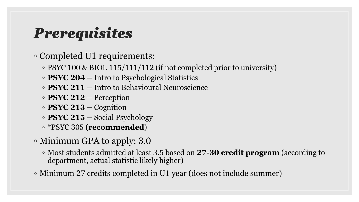## *Prerequisites*

◦ Completed U1 requirements:

- PSYC 100 & BIOL 115/111/112 (if not completed prior to university)
- **PSYC 204 –** Intro to Psychological Statistics
- **PSYC 211 –** Intro to Behavioural Neuroscience
- **PSYC 212 –** Perception
- **PSYC 213 –** Cognition
- **PSYC 215 –** Social Psychology
- \*PSYC 305 (**recommended**)
- Minimum GPA to apply: 3.0
	- Most students admitted at least 3.5 based on **27-30 credit program** (according to department, actual statistic likely higher)
- Minimum 27 credits completed in U1 year (does not include summer)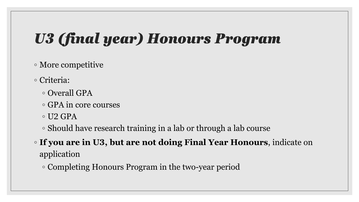# *U3 (final year) Honours Program*

#### ◦ More competitive

- Criteria:
	- Overall GPA
	- GPA in core courses
	- $\circ$  U2 GPA
	- Should have research training in a lab or through a lab course
- **If you are in U3, but are not doing Final Year Honours**, indicate on application
	- Completing Honours Program in the two-year period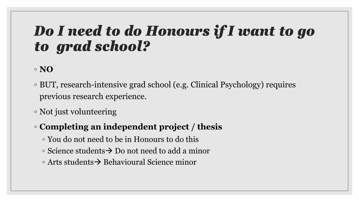### *Do I need to do Honours if I want to go to grad school?*

#### ◦ **NO**

- BUT, research-intensive grad school (e.g. Clinical Psychology) requires previous research experience.
- Not just volunteering
- **Completing an independent project / thesis**
	- You do not need to be in Honours to do this
	- Science students→ Do not need to add a minor
	- Arts students→ Behavioural Science minor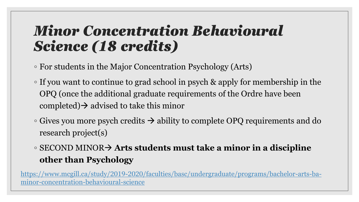### *Minor Concentration Behavioural Science (18 credits)*

- For students in the Major Concentration Psychology (Arts)
- If you want to continue to grad school in psych & apply for membership in the OPQ (once the additional graduate requirements of the Ordre have been completed) $\rightarrow$  advised to take this minor
- $\circ$  Gives you more psych credits  $\rightarrow$  ability to complete OPQ requirements and do research project(s)
- SECOND MINOR→ **Arts students must take a minor in a discipline other than Psychology**

[https://www.mcgill.ca/study/2019-2020/faculties/basc/undergraduate/programs/bachelor-arts-ba](https://www.mcgill.ca/study/2019-2020/faculties/basc/undergraduate/programs/bachelor-arts-ba-minor-concentration-behavioural-science)minor-concentration-behavioural-science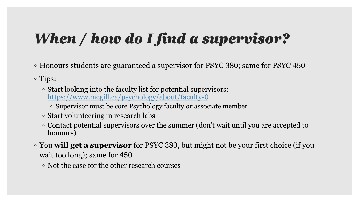## *When / how do I find a supervisor?*

◦ Honours students are guaranteed a supervisor for PSYC 380; same for PSYC 450

◦ Tips:

- Start looking into the faculty list for potential supervisors: <https://www.mcgill.ca/psychology/about/faculty-0>
	- Supervisor must be core Psychology faculty *or* associate member
- Start volunteering in research labs
- Contact potential supervisors over the summer (don't wait until you are accepted to honours)
- You **will get a supervisor** for PSYC 380, but might not be your first choice (if you wait too long); same for 450
	- Not the case for the other research courses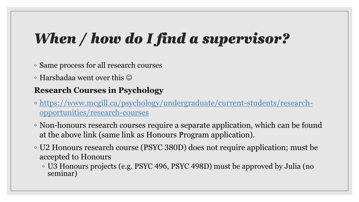## *When / how do I find a supervisor?*

- Same process for all research courses
- $\circ$  Harshadaa went over this  $\odot$

#### **Research Courses in Psychology**

- [https://www.mcgill.ca/psychology/undergraduate/current-students/research](https://www.mcgill.ca/psychology/undergraduate/current-students/research-opportunities/research-courses)opportunities/research-courses
- Non-honours research courses require a separate application, which can be found at the above link (same link as Honours Program application).
- U2 Honours research course (PSYC 380D) does not require application; must be accepted to Honours
	- U3 Honours projects (e.g. PSYC 496, PSYC 498D) must be approved by Julia (no seminar)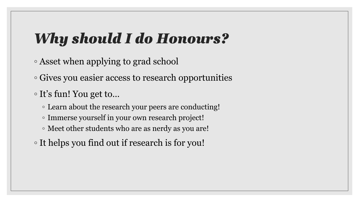## *Why should I do Honours?*

- Asset when applying to grad school
- Gives you easier access to research opportunities
- It's fun! You get to…
	- Learn about the research your peers are conducting!
	- Immerse yourself in your own research project!
	- Meet other students who are as nerdy as you are!
- It helps you find out if research is for you!